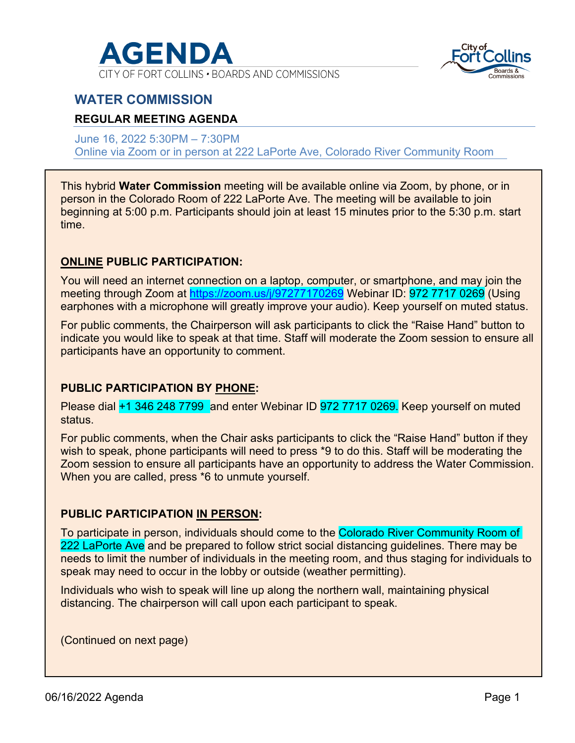

CITY OF FORT COLLINS . BOARDS AND COMMISSIONS



## **WATER COMMISSION**

## **REGULAR MEETING AGENDA**

June 16, 2022 5:30PM – 7:30PM Online via Zoom or in person at 222 LaPorte Ave, Colorado River Community Room

This hybrid **Water Commission** meeting will be available online via Zoom, by phone, or in person in the Colorado Room of 222 LaPorte Ave. The meeting will be available to join beginning at 5:00 p.m. Participants should join at least 15 minutes prior to the 5:30 p.m. start time.

## **ONLINE PUBLIC PARTICIPATION:**

You will need an internet connection on a laptop, computer, or smartphone, and may join the meeting through Zoom at<https://zoom.us/j/97277170269> Webinar ID: 972 7717 0269 (Using earphones with a microphone will greatly improve your audio). Keep yourself on muted status.

For public comments, the Chairperson will ask participants to click the "Raise Hand" button to indicate you would like to speak at that time. Staff will moderate the Zoom session to ensure all participants have an opportunity to comment.

## **PUBLIC PARTICIPATION BY PHONE:**

Please dial +1 346 248 7799 and enter Webinar ID 972 7717 0269. Keep yourself on muted status.

For public comments, when the Chair asks participants to click the "Raise Hand" button if they wish to speak, phone participants will need to press \*9 to do this. Staff will be moderating the Zoom session to ensure all participants have an opportunity to address the Water Commission. When you are called, press \*6 to unmute yourself.

### **PUBLIC PARTICIPATION IN PERSON:**

To participate in person, individuals should come to the Colorado River Community Room of 222 LaPorte Ave and be prepared to follow strict social distancing guidelines. There may be needs to limit the number of individuals in the meeting room, and thus staging for individuals to speak may need to occur in the lobby or outside (weather permitting).

Individuals who wish to speak will line up along the northern wall, maintaining physical distancing. The chairperson will call upon each participant to speak.

(Continued on next page)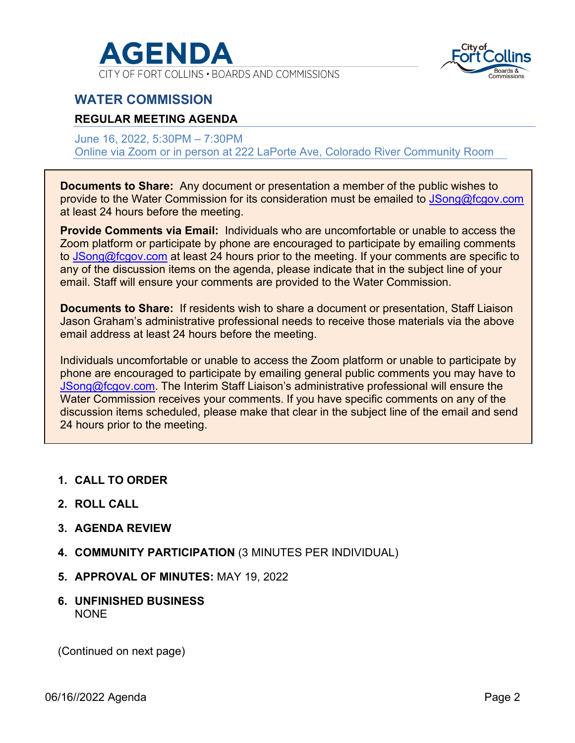

CITY OF FORT COLLINS . BOARDS AND COMMISSIONS



## **WATER COMMISSION**

## **REGULAR MEETING AGENDA**

June 16, 2022, 5:30PM – 7:30PM Online via Zoom or in person at 222 LaPorte Ave, Colorado River Community Room

**Documents to Share:** Any document or presentation a member of the public wishes to provide to the Water Commission for its consideration must be emailed to [JSong@fcgov.com](mailto:JSong@fcgov.com) at least 24 hours before the meeting.

**Provide Comments via Email:** Individuals who are uncomfortable or unable to access the Zoom platform or participate by phone are encouraged to participate by emailing comments to [JSong@fcgov.com](mailto:KaMartinez@fcgov.com) at least 24 hours prior to the meeting. If your comments are specific to any of the discussion items on the agenda, please indicate that in the subject line of your email. Staff will ensure your comments are provided to the Water Commission.

**Documents to Share:** If residents wish to share a document or presentation, Staff Liaison Jason Graham's administrative professional needs to receive those materials via the above email address at least 24 hours before the meeting.

Individuals uncomfortable or unable to access the Zoom platform or unable to participate by phone are encouraged to participate by emailing general public comments you may have to [JSong@fcgov.com.](mailto:JSong@fcgov.com) The Interim Staff Liaison's administrative professional will ensure the Water Commission receives your comments. If you have specific comments on any of the discussion items scheduled, please make that clear in the subject line of the email and send 24 hours prior to the meeting.

- **1. CALL TO ORDER**
- **2. ROLL CALL**
- **3. AGENDA REVIEW**
- **4. COMMUNITY PARTICIPATION** (3 MINUTES PER INDIVIDUAL)
- **5. APPROVAL OF MINUTES:** MAY 19, 2022
- **6. UNFINISHED BUSINESS**  NONE

(Continued on next page)